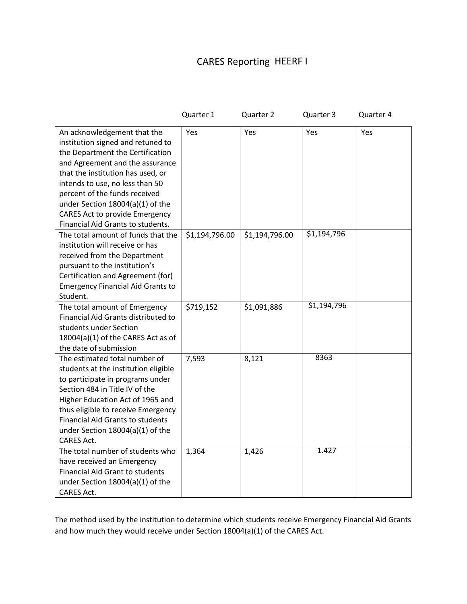## CARES Reporting HEERF I

|                                                                                                                                                                                                                                                                                                                                                                    | Quarter 1      | Quarter 2      | Quarter 3   | Quarter 4 |
|--------------------------------------------------------------------------------------------------------------------------------------------------------------------------------------------------------------------------------------------------------------------------------------------------------------------------------------------------------------------|----------------|----------------|-------------|-----------|
| An acknowledgement that the<br>institution signed and retuned to<br>the Department the Certification<br>and Agreement and the assurance<br>that the institution has used, or<br>intends to use, no less than 50<br>percent of the funds received<br>under Section 18004(a)(1) of the<br><b>CARES Act to provide Emergency</b><br>Financial Aid Grants to students. | Yes            | Yes            | Yes         | Yes       |
| The total amount of funds that the<br>institution will receive or has<br>received from the Department<br>pursuant to the institution's<br>Certification and Agreement (for)<br><b>Emergency Financial Aid Grants to</b><br>Student.                                                                                                                                | \$1,194,796.00 | \$1,194,796.00 | \$1,194,796 |           |
| The total amount of Emergency<br>Financial Aid Grants distributed to<br>students under Section<br>18004(a)(1) of the CARES Act as of<br>the date of submission                                                                                                                                                                                                     | \$719,152      | \$1,091,886    | \$1,194,796 |           |
| The estimated total number of<br>students at the institution eligible<br>to participate in programs under<br>Section 484 in Title IV of the<br>Higher Education Act of 1965 and<br>thus eligible to receive Emergency<br><b>Financial Aid Grants to students</b><br>under Section 18004(a)(1) of the<br><b>CARES Act.</b>                                          | 7,593          | 8,121          | 8363        |           |
| The total number of students who<br>have received an Emergency<br><b>Financial Aid Grant to students</b><br>under Section $18004(a)(1)$ of the<br>CARES Act.                                                                                                                                                                                                       | 1,364          | 1,426          | 1.427       |           |

The method used by the institution to determine which students receive Emergency Financial Aid Grants and how much they would receive under Section 18004(a)(1) of the CARES Act.